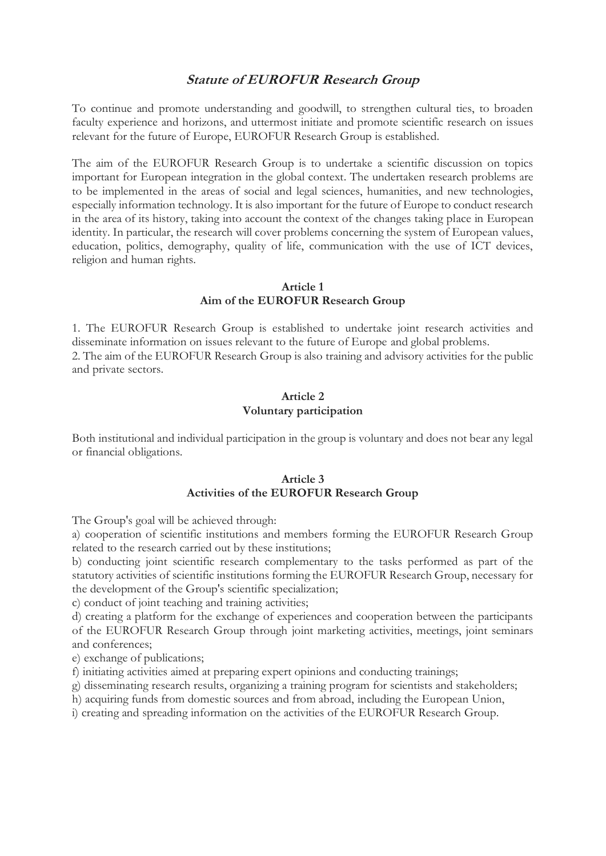# **Statute of EUROFUR Research Group**

To continue and promote understanding and goodwill, to strengthen cultural ties, to broaden faculty experience and horizons, and uttermost initiate and promote scientific research on issues relevant for the future of Europe, EUROFUR Research Group is established.

The aim of the EUROFUR Research Group is to undertake a scientific discussion on topics important for European integration in the global context. The undertaken research problems are to be implemented in the areas of social and legal sciences, humanities, and new technologies, especially information technology. It is also important for the future of Europe to conduct research in the area of its history, taking into account the context of the changes taking place in European identity. In particular, the research will cover problems concerning the system of European values, education, politics, demography, quality of life, communication with the use of ICT devices, religion and human rights.

### **Article 1 Aim of the EUROFUR Research Group**

1. The EUROFUR Research Group is established to undertake joint research activities and disseminate information on issues relevant to the future of Europe and global problems. 2. The aim of the EUROFUR Research Group is also training and advisory activities for the public and private sectors.

## **Article 2 Voluntary participation**

Both institutional and individual participation in the group is voluntary and does not bear any legal or financial obligations.

# **Article 3 Activities of the EUROFUR Research Group**

The Group's goal will be achieved through:

a) cooperation of scientific institutions and members forming the EUROFUR Research Group related to the research carried out by these institutions;

b) conducting joint scientific research complementary to the tasks performed as part of the statutory activities of scientific institutions forming the EUROFUR Research Group, necessary for the development of the Group's scientific specialization;

c) conduct of joint teaching and training activities;

d) creating a platform for the exchange of experiences and cooperation between the participants of the EUROFUR Research Group through joint marketing activities, meetings, joint seminars and conferences;

e) exchange of publications;

f) initiating activities aimed at preparing expert opinions and conducting trainings;

g) disseminating research results, organizing a training program for scientists and stakeholders;

h) acquiring funds from domestic sources and from abroad, including the European Union,

i) creating and spreading information on the activities of the EUROFUR Research Group.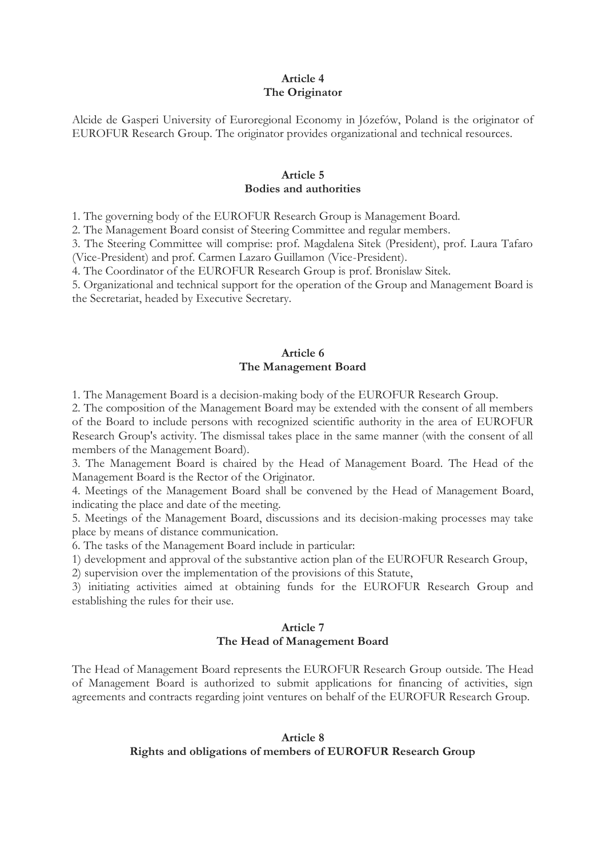#### **Article 4 The Originator**

Alcide de Gasperi University of Euroregional Economy in Józefów, Poland is the originator of EUROFUR Research Group. The originator provides organizational and technical resources.

#### **Article 5 Bodies and authorities**

1. The governing body of the EUROFUR Research Group is Management Board.

2. The Management Board consist of Steering Committee and regular members.

3. The Steering Committee will comprise: prof. Magdalena Sitek (President), prof. Laura Tafaro (Vice-President) and prof. Carmen Lazaro Guillamon (Vice-President).

4. The Coordinator of the EUROFUR Research Group is prof. Bronislaw Sitek.

5. Organizational and technical support for the operation of the Group and Management Board is the Secretariat, headed by Executive Secretary.

### **Article 6 The Management Board**

1. The Management Board is a decision-making body of the EUROFUR Research Group.

2. The composition of the Management Board may be extended with the consent of all members of the Board to include persons with recognized scientific authority in the area of EUROFUR Research Group's activity. The dismissal takes place in the same manner (with the consent of all members of the Management Board).

3. The Management Board is chaired by the Head of Management Board. The Head of the Management Board is the Rector of the Originator.

4. Meetings of the Management Board shall be convened by the Head of Management Board, indicating the place and date of the meeting.

5. Meetings of the Management Board, discussions and its decision-making processes may take place by means of distance communication.

6. The tasks of the Management Board include in particular:

1) development and approval of the substantive action plan of the EUROFUR Research Group,

2) supervision over the implementation of the provisions of this Statute,

3) initiating activities aimed at obtaining funds for the EUROFUR Research Group and establishing the rules for their use.

### **Article 7 The Head of Management Board**

The Head of Management Board represents the EUROFUR Research Group outside. The Head of Management Board is authorized to submit applications for financing of activities, sign agreements and contracts regarding joint ventures on behalf of the EUROFUR Research Group.

#### **Article 8 Rights and obligations of members of EUROFUR Research Group**